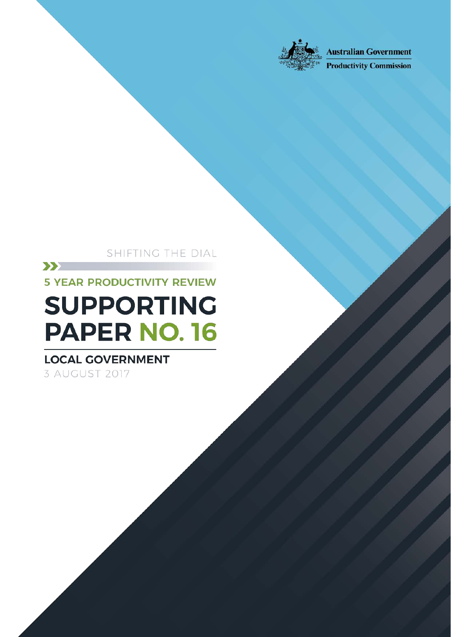

Shifting the Dial: 5 year Productivity Review — Supporting Paper No. 16, Canberra,

**Australian Government** 

**Productivity Commission** 

### SHIFTING THE DIAL

Local government

 $\sum$ **5 YEAR PRODUCTIVITY REVIEW** 

# **SUPPORTING PAPER NO. 16**

# **LOCAL GOVERNMENT**

3 AUGUST 2017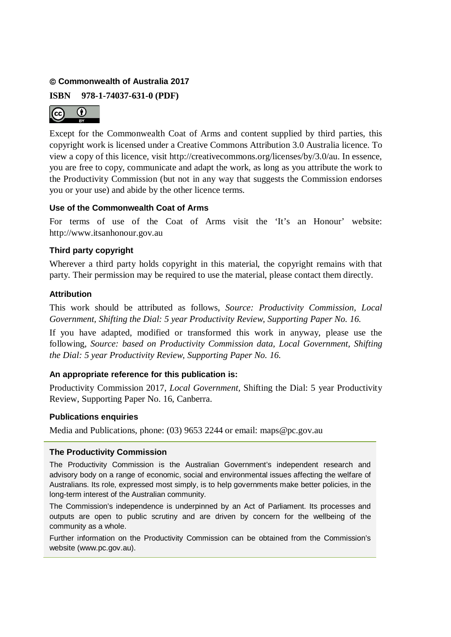#### **Commonwealth of Australia 2017**

**ISBN 978-1-74037-631-0 (PDF)**



Except for the Commonwealth Coat of Arms and content supplied by third parties, this copyright work is licensed under a Creative Commons Attribution 3.0 Australia licence. To view a copy of this licence, visit http://creativecommons.org/licenses/by/3.0/au. In essence, you are free to copy, communicate and adapt the work, as long as you attribute the work to the Productivity Commission (but not in any way that suggests the Commission endorses you or your use) and abide by the other licence terms.

#### **Use of the Commonwealth Coat of Arms**

For terms of use of the Coat of Arms visit the 'It's an Honour' website: http://www.itsanhonour.gov.au

#### **Third party copyright**

Wherever a third party holds copyright in this material, the copyright remains with that party. Their permission may be required to use the material, please contact them directly.

#### **Attribution**

This work should be attributed as follows, *Source: Productivity Commission, Local Government, Shifting the Dial: 5 year Productivity Review, Supporting Paper No. 16.*

If you have adapted, modified or transformed this work in anyway, please use the following, *Source: based on Productivity Commission data, Local Government, Shifting the Dial: 5 year Productivity Review, Supporting Paper No. 16.*

#### **An appropriate reference for this publication is:**

Productivity Commission 2017, *Local Government,* Shifting the Dial: 5 year Productivity Review, Supporting Paper No. 16, Canberra.

#### **Publications enquiries**

Media and Publications, phone: (03) 9653 2244 or email: maps@pc.gov.au

#### **The Productivity Commission**

The Productivity Commission is the Australian Government's independent research and advisory body on a range of economic, social and environmental issues affecting the welfare of Australians. Its role, expressed most simply, is to help governments make better policies, in the long-term interest of the Australian community.

The Commission's independence is underpinned by an Act of Parliament. Its processes and outputs are open to public scrutiny and are driven by concern for the wellbeing of the community as a whole.

Further information on the Productivity Commission can be obtained from the Commission's website (www.pc.gov.au).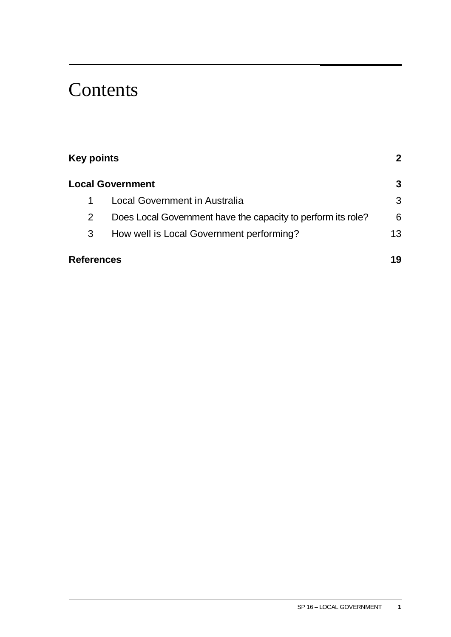# **Contents**

| <b>Key points</b> |                                                              |    |
|-------------------|--------------------------------------------------------------|----|
|                   | <b>Local Government</b>                                      | 3  |
|                   | <b>Local Government in Australia</b>                         | 3  |
| 2                 | Does Local Government have the capacity to perform its role? | 6  |
| 3                 | How well is Local Government performing?                     | 13 |
| <b>References</b> |                                                              | 19 |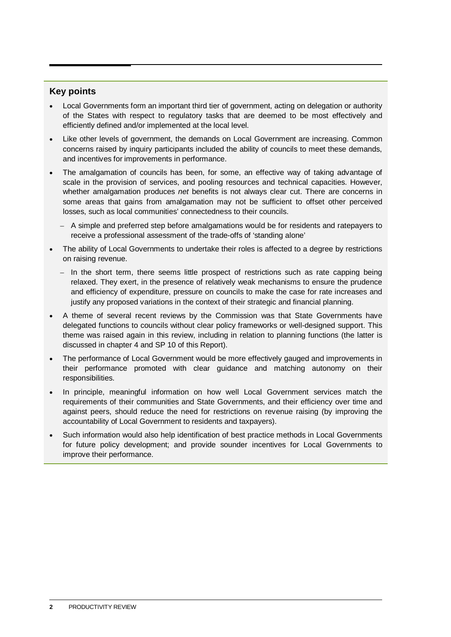#### <span id="page-3-0"></span>**Key points**

- Local Governments form an important third tier of government, acting on delegation or authority of the States with respect to regulatory tasks that are deemed to be most effectively and efficiently defined and/or implemented at the local level.
- Like other levels of government, the demands on Local Government are increasing. Common concerns raised by inquiry participants included the ability of councils to meet these demands, and incentives for improvements in performance.
- The amalgamation of councils has been, for some, an effective way of taking advantage of scale in the provision of services, and pooling resources and technical capacities. However, whether amalgamation produces *net* benefits is not always clear cut. There are concerns in some areas that gains from amalgamation may not be sufficient to offset other perceived losses, such as local communities' connectedness to their councils.
	- A simple and preferred step before amalgamations would be for residents and ratepayers to receive a professional assessment of the trade-offs of 'standing alone'
- The ability of Local Governments to undertake their roles is affected to a degree by restrictions on raising revenue.
	- In the short term, there seems little prospect of restrictions such as rate capping being relaxed. They exert, in the presence of relatively weak mechanisms to ensure the prudence and efficiency of expenditure, pressure on councils to make the case for rate increases and justify any proposed variations in the context of their strategic and financial planning.
- A theme of several recent reviews by the Commission was that State Governments have delegated functions to councils without clear policy frameworks or well-designed support. This theme was raised again in this review, including in relation to planning functions (the latter is discussed in chapter 4 and SP 10 of this Report).
- The performance of Local Government would be more effectively gauged and improvements in their performance promoted with clear guidance and matching autonomy on their responsibilities.
- In principle, meaningful information on how well Local Government services match the requirements of their communities and State Governments, and their efficiency over time and against peers, should reduce the need for restrictions on revenue raising (by improving the accountability of Local Government to residents and taxpayers).
- Such information would also help identification of best practice methods in Local Governments for future policy development; and provide sounder incentives for Local Governments to improve their performance.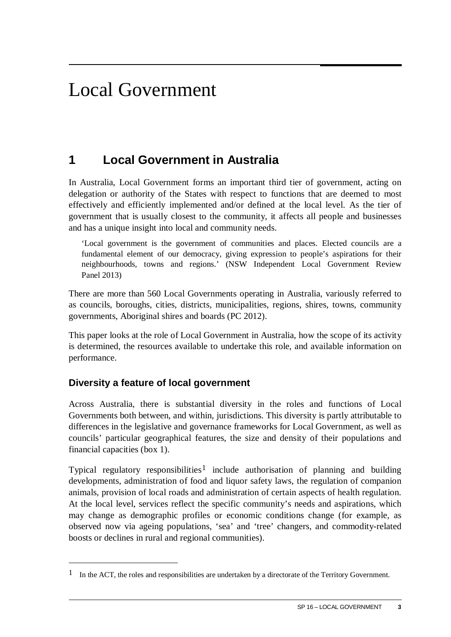# <span id="page-4-0"></span>Local Government

## **1 Local Government in Australia**

In Australia, Local Government forms an important third tier of government, acting on delegation or authority of the States with respect to functions that are deemed to most effectively and efficiently implemented and/or defined at the local level. As the tier of government that is usually closest to the community, it affects all people and businesses and has a unique insight into local and community needs.

'Local government is the government of communities and places. Elected councils are a fundamental element of our democracy, giving expression to people's aspirations for their neighbourhoods, towns and regions.' (NSW Independent Local Government Review Panel 2013)

There are more than 560 Local Governments operating in Australia, variously referred to as councils, boroughs, cities, districts, municipalities, regions, shires, towns, community governments, Aboriginal shires and boards (PC 2012).

This paper looks at the role of Local Government in Australia, how the scope of its activity is determined, the resources available to undertake this role, and available information on performance.

#### **Diversity a feature of local government**

 $\overline{a}$ 

Across Australia, there is substantial diversity in the roles and functions of Local Governments both between, and within, jurisdictions. This diversity is partly attributable to differences in the legislative and governance frameworks for Local Government, as well as councils' particular geographical features, the size and density of their populations and financial capacities (box 1).

Typical regulatory responsibilities<sup>[1](#page-4-1)</sup> include authorisation of planning and building developments, administration of food and liquor safety laws, the regulation of companion animals, provision of local roads and administration of certain aspects of health regulation. At the local level, services reflect the specific community's needs and aspirations, which may change as demographic profiles or economic conditions change (for example, as observed now via ageing populations, 'sea' and 'tree' changers, and commodity-related boosts or declines in rural and regional communities).

<span id="page-4-1"></span><sup>&</sup>lt;sup>1</sup> In the ACT, the roles and responsibilities are undertaken by a directorate of the Territory Government.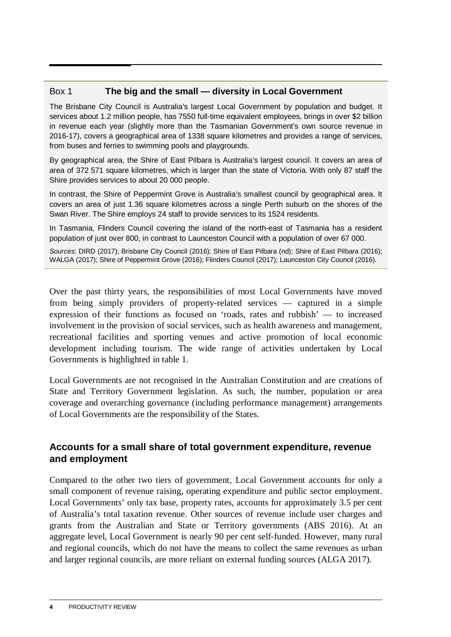#### Box 1 **The big and the small — diversity in Local Government**

The Brisbane City Council is Australia's largest Local Government by population and budget. It services about 1.2 million people, has 7550 full-time equivalent employees, brings in over \$2 billion in revenue each year (slightly more than the Tasmanian Government's own source revenue in 2016-17), covers a geographical area of 1338 square kilometres and provides a range of services, from buses and ferries to swimming pools and playgrounds.

By geographical area, the Shire of East Pilbara is Australia's largest council. It covers an area of area of 372 571 square kilometres, which is larger than the state of Victoria. With only 87 staff the Shire provides services to about 20 000 people.

In contrast, the Shire of Peppermint Grove is Australia's smallest council by geographical area. It covers an area of just 1.36 square kilometres across a single Perth suburb on the shores of the Swan River. The Shire employs 24 staff to provide services to its 1524 residents.

In Tasmania, Flinders Council covering the island of the north-east of Tasmania has a resident population of just over 800, in contrast to Launceston Council with a population of over 67 000.

*Sources*: DIRD (2017); Brisbane City Council (2016); Shire of East Pilbara (nd); Shire of East Pilbara (2016); WALGA (2017); Shire of Peppermint Grove (2016); Flinders Council (2017); Launceston City Council (2016).

Over the past thirty years, the responsibilities of most Local Governments have moved from being simply providers of property-related services — captured in a simple expression of their functions as focused on 'roads, rates and rubbish' — to increased involvement in the provision of social services, such as health awareness and management, recreational facilities and sporting venues and active promotion of local economic development including tourism. The wide range of activities undertaken by Local Governments is highlighted in table 1.

Local Governments are not recognised in the Australian Constitution and are creations of State and Territory Government legislation. As such, the number, population or area coverage and overarching governance (including performance management) arrangements of Local Governments are the responsibility of the States.

#### **Accounts for a small share of total government expenditure, revenue and employment**

Compared to the other two tiers of government, Local Government accounts for only a small component of revenue raising, operating expenditure and public sector employment. Local Governments' only tax base, property rates, accounts for approximately 3.5 per cent of Australia's total taxation revenue. Other sources of revenue include user charges and grants from the Australian and State or Territory governments (ABS 2016). At an aggregate level, Local Government is nearly 90 per cent self-funded. However, many rural and regional councils, which do not have the means to collect the same revenues as urban and larger regional councils, are more reliant on external funding sources (ALGA 2017).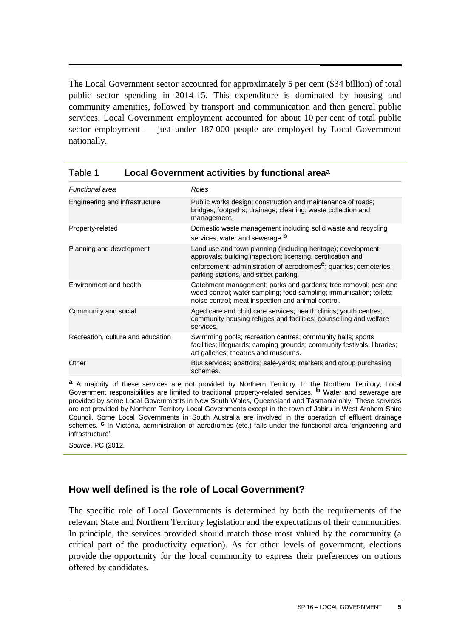The Local Government sector accounted for approximately 5 per cent (\$34 billion) of total public sector spending in 2014-15. This expenditure is dominated by housing and community amenities, followed by transport and communication and then general public services. Local Government employment accounted for about 10 per cent of total public sector employment — just under 187 000 people are employed by Local Government nationally.

| <b>Functional area</b>            | Roles                                                                                                                                                                                                                                                   |
|-----------------------------------|---------------------------------------------------------------------------------------------------------------------------------------------------------------------------------------------------------------------------------------------------------|
| Engineering and infrastructure    | Public works design; construction and maintenance of roads;<br>bridges, footpaths; drainage; cleaning; waste collection and<br>management.                                                                                                              |
| Property-related                  | Domestic waste management including solid waste and recycling<br>services, water and sewerage. <sup>b</sup>                                                                                                                                             |
| Planning and development          | Land use and town planning (including heritage); development<br>approvals; building inspection; licensing, certification and<br>enforcement; administration of aerodromes <sup>c</sup> ; quarries; cemeteries,<br>parking stations, and street parking. |
| Environment and health            | Catchment management; parks and gardens; tree removal; pest and<br>weed control; water sampling; food sampling; immunisation; toilets;<br>noise control; meat inspection and animal control.                                                            |
| Community and social              | Aged care and child care services; health clinics; youth centres;<br>community housing refuges and facilities; counselling and welfare<br>services.                                                                                                     |
| Recreation, culture and education | Swimming pools; recreation centres; community halls; sports<br>facilities; lifeguards; camping grounds; community festivals; libraries;<br>art galleries; theatres and museums.                                                                         |
| Other                             | Bus services; abattoirs; sale-yards; markets and group purchasing<br>schemes.                                                                                                                                                                           |

| Table 1 | Local Government activities by functional area <sup>a</sup> |  |
|---------|-------------------------------------------------------------|--|
|---------|-------------------------------------------------------------|--|

**a** A majority of these services are not provided by Northern Territory. In the Northern Territory, Local Government responsibilities are limited to traditional property-related services. **b** Water and sewerage are provided by some Local Governments in New South Wales, Queensland and Tasmania only. These services are not provided by Northern Territory Local Governments except in the town of Jabiru in West Arnhem Shire Council. Some Local Governments in South Australia are involved in the operation of effluent drainage schemes. <sup>c</sup> In Victoria, administration of aerodromes (etc.) falls under the functional area 'engineering and infrastructure'.

*Source*. PC (2012.

#### **How well defined is the role of Local Government?**

The specific role of Local Governments is determined by both the requirements of the relevant State and Northern Territory legislation and the expectations of their communities. In principle, the services provided should match those most valued by the community (a critical part of the productivity equation). As for other levels of government, elections provide the opportunity for the local community to express their preferences on options offered by candidates.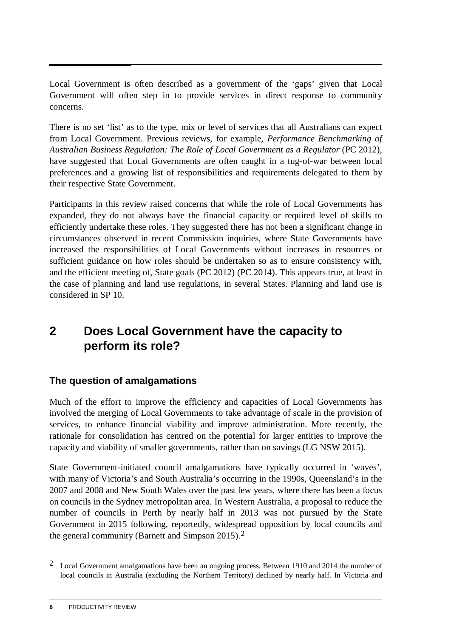<span id="page-7-0"></span>Local Government is often described as a government of the 'gaps' given that Local Government will often step in to provide services in direct response to community concerns.

There is no set 'list' as to the type, mix or level of services that all Australians can expect from Local Government. Previous reviews, for example, *Performance Benchmarking of Australian Business Regulation: The Role of Local Government as a Regulator* (PC 2012), have suggested that Local Governments are often caught in a tug-of-war between local preferences and a growing list of responsibilities and requirements delegated to them by their respective State Government.

Participants in this review raised concerns that while the role of Local Governments has expanded, they do not always have the financial capacity or required level of skills to efficiently undertake these roles. They suggested there has not been a significant change in circumstances observed in recent Commission inquiries, where State Governments have increased the responsibilities of Local Governments without increases in resources or sufficient guidance on how roles should be undertaken so as to ensure consistency with, and the efficient meeting of, State goals (PC 2012) (PC 2014). This appears true, at least in the case of planning and land use regulations, in several States. Planning and land use is considered in SP 10.

## **2 Does Local Government have the capacity to perform its role?**

#### **The question of amalgamations**

Much of the effort to improve the efficiency and capacities of Local Governments has involved the merging of Local Governments to take advantage of scale in the provision of services, to enhance financial viability and improve administration. More recently, the rationale for consolidation has centred on the potential for larger entities to improve the capacity and viability of smaller governments, rather than on savings (LG NSW 2015).

State Government-initiated council amalgamations have typically occurred in 'waves', with many of Victoria's and South Australia's occurring in the 1990s, Queensland's in the 2007 and 2008 and New South Wales over the past few years, where there has been a focus on councils in the Sydney metropolitan area. In Western Australia, a proposal to reduce the number of councils in Perth by nearly half in 2013 was not pursued by the State Government in 2015 following, reportedly, widespread opposition by local councils and the general community (Barnett and Simpson 2015).[2](#page-7-1)

<u>.</u>

<span id="page-7-1"></span><sup>&</sup>lt;sup>2</sup> Local Government amalgamations have been an ongoing process. Between 1910 and 2014 the number of local councils in Australia (excluding the Northern Territory) declined by nearly half. In Victoria and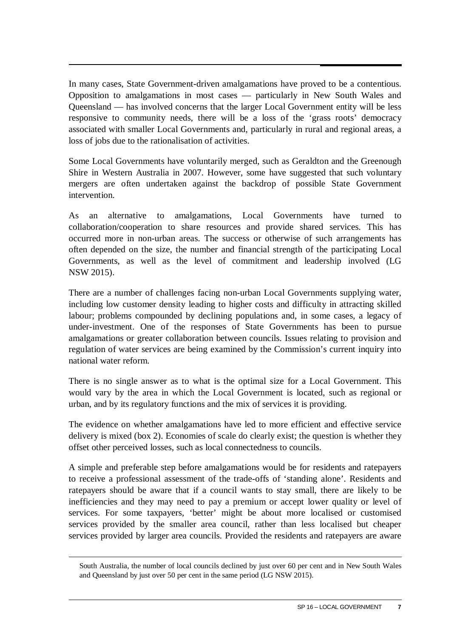In many cases, State Government-driven amalgamations have proved to be a contentious. Opposition to amalgamations in most cases — particularly in New South Wales and Queensland — has involved concerns that the larger Local Government entity will be less responsive to community needs, there will be a loss of the 'grass roots' democracy associated with smaller Local Governments and, particularly in rural and regional areas, a loss of jobs due to the rationalisation of activities.

Some Local Governments have voluntarily merged, such as Geraldton and the Greenough Shire in Western Australia in 2007. However, some have suggested that such voluntary mergers are often undertaken against the backdrop of possible State Government intervention.

As an alternative to amalgamations, Local Governments have turned to collaboration/cooperation to share resources and provide shared services. This has occurred more in non-urban areas. The success or otherwise of such arrangements has often depended on the size, the number and financial strength of the participating Local Governments, as well as the level of commitment and leadership involved (LG NSW 2015).

There are a number of challenges facing non-urban Local Governments supplying water, including low customer density leading to higher costs and difficulty in attracting skilled labour; problems compounded by declining populations and, in some cases, a legacy of under-investment. One of the responses of State Governments has been to pursue amalgamations or greater collaboration between councils. Issues relating to provision and regulation of water services are being examined by the Commission's current inquiry into national water reform.

There is no single answer as to what is the optimal size for a Local Government. This would vary by the area in which the Local Government is located, such as regional or urban, and by its regulatory functions and the mix of services it is providing.

The evidence on whether amalgamations have led to more efficient and effective service delivery is mixed (box 2). Economies of scale do clearly exist; the question is whether they offset other perceived losses, such as local connectedness to councils.

A simple and preferable step before amalgamations would be for residents and ratepayers to receive a professional assessment of the trade-offs of 'standing alone'. Residents and ratepayers should be aware that if a council wants to stay small, there are likely to be inefficiencies and they may need to pay a premium or accept lower quality or level of services. For some taxpayers, 'better' might be about more localised or customised services provided by the smaller area council, rather than less localised but cheaper services provided by larger area councils. Provided the residents and ratepayers are aware

<u>.</u>

South Australia, the number of local councils declined by just over 60 per cent and in New South Wales and Queensland by just over 50 per cent in the same period (LG NSW 2015).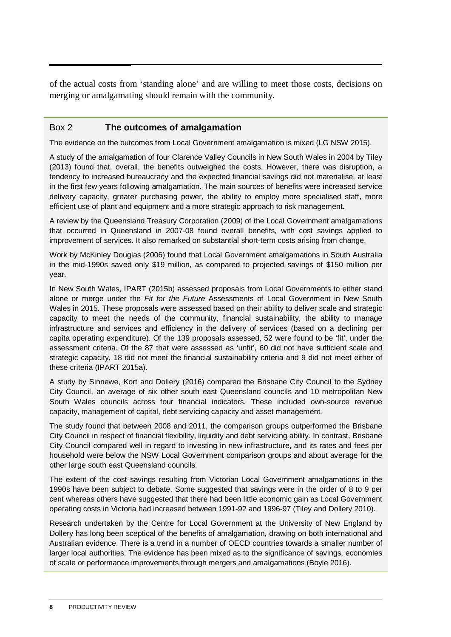of the actual costs from 'standing alone' and are willing to meet those costs, decisions on merging or amalgamating should remain with the community.

#### Box 2 **The outcomes of amalgamation**

The evidence on the outcomes from Local Government amalgamation is mixed (LG NSW 2015).

A study of the amalgamation of four Clarence Valley Councils in New South Wales in 2004 by Tiley (2013) found that, overall, the benefits outweighed the costs. However, there was disruption, a tendency to increased bureaucracy and the expected financial savings did not materialise, at least in the first few years following amalgamation. The main sources of benefits were increased service delivery capacity, greater purchasing power, the ability to employ more specialised staff, more efficient use of plant and equipment and a more strategic approach to risk management.

A review by the Queensland Treasury Corporation (2009) of the Local Government amalgamations that occurred in Queensland in 2007-08 found overall benefits, with cost savings applied to improvement of services. It also remarked on substantial short-term costs arising from change.

Work by McKinley Douglas (2006) found that Local Government amalgamations in South Australia in the mid-1990s saved only \$19 million, as compared to projected savings of \$150 million per year.

In New South Wales, IPART (2015b) assessed proposals from Local Governments to either stand alone or merge under the *Fit for the Future* Assessments of Local Government in New South Wales in 2015. These proposals were assessed based on their ability to deliver scale and strategic capacity to meet the needs of the community, financial sustainability, the ability to manage infrastructure and services and efficiency in the delivery of services (based on a declining per capita operating expenditure). Of the 139 proposals assessed, 52 were found to be 'fit', under the assessment criteria. Of the 87 that were assessed as 'unfit', 60 did not have sufficient scale and strategic capacity, 18 did not meet the financial sustainability criteria and 9 did not meet either of these criteria (IPART 2015a).

A study by Sinnewe, Kort and Dollery (2016) compared the Brisbane City Council to the Sydney City Council, an average of six other south east Queensland councils and 10 metropolitan New South Wales councils across four financial indicators. These included own-source revenue capacity, management of capital, debt servicing capacity and asset management.

The study found that between 2008 and 2011, the comparison groups outperformed the Brisbane City Council in respect of financial flexibility, liquidity and debt servicing ability. In contrast, Brisbane City Council compared well in regard to investing in new infrastructure, and its rates and fees per household were below the NSW Local Government comparison groups and about average for the other large south east Queensland councils.

The extent of the cost savings resulting from Victorian Local Government amalgamations in the 1990s have been subject to debate. Some suggested that savings were in the order of 8 to 9 per cent whereas others have suggested that there had been little economic gain as Local Government operating costs in Victoria had increased between 1991-92 and 1996-97 (Tiley and Dollery 2010).

Research undertaken by the Centre for Local Government at the University of New England by Dollery has long been sceptical of the benefits of amalgamation, drawing on both international and Australian evidence. There is a trend in a number of OECD countries towards a smaller number of larger local authorities. The evidence has been mixed as to the significance of savings, economies of scale or performance improvements through mergers and amalgamations (Boyle 2016).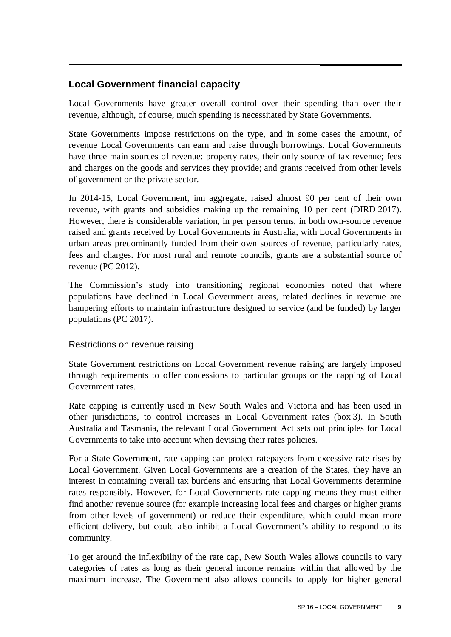#### **Local Government financial capacity**

Local Governments have greater overall control over their spending than over their revenue, although, of course, much spending is necessitated by State Governments.

State Governments impose restrictions on the type, and in some cases the amount, of revenue Local Governments can earn and raise through borrowings. Local Governments have three main sources of revenue: property rates, their only source of tax revenue; fees and charges on the goods and services they provide; and grants received from other levels of government or the private sector.

In 2014-15, Local Government, inn aggregate, raised almost 90 per cent of their own revenue, with grants and subsidies making up the remaining 10 per cent (DIRD 2017). However, there is considerable variation, in per person terms, in both own-source revenue raised and grants received by Local Governments in Australia, with Local Governments in urban areas predominantly funded from their own sources of revenue, particularly rates, fees and charges. For most rural and remote councils, grants are a substantial source of revenue (PC 2012).

The Commission's study into transitioning regional economies noted that where populations have declined in Local Government areas, related declines in revenue are hampering efforts to maintain infrastructure designed to service (and be funded) by larger populations (PC 2017).

#### Restrictions on revenue raising

State Government restrictions on Local Government revenue raising are largely imposed through requirements to offer concessions to particular groups or the capping of Local Government rates.

Rate capping is currently used in New South Wales and Victoria and has been used in other jurisdictions, to control increases in Local Government rates (box 3). In South Australia and Tasmania, the relevant Local Government Act sets out principles for Local Governments to take into account when devising their rates policies.

For a State Government, rate capping can protect ratepayers from excessive rate rises by Local Government. Given Local Governments are a creation of the States, they have an interest in containing overall tax burdens and ensuring that Local Governments determine rates responsibly. However, for Local Governments rate capping means they must either find another revenue source (for example increasing local fees and charges or higher grants from other levels of government) or reduce their expenditure, which could mean more efficient delivery, but could also inhibit a Local Government's ability to respond to its community.

To get around the inflexibility of the rate cap, New South Wales allows councils to vary categories of rates as long as their general income remains within that allowed by the maximum increase. The Government also allows councils to apply for higher general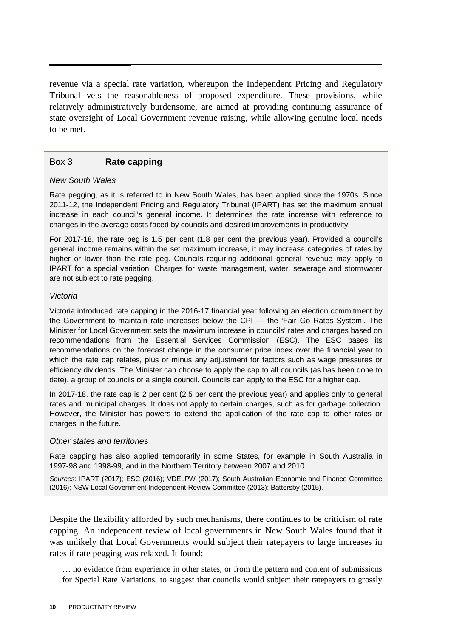revenue via a special rate variation, whereupon the Independent Pricing and Regulatory Tribunal vets the reasonableness of proposed expenditure. These provisions, while relatively administratively burdensome, are aimed at providing continuing assurance of state oversight of Local Government revenue raising, while allowing genuine local needs to be met.

#### Box 3 **Rate capping**

#### *New South Wales*

Rate pegging, as it is referred to in New South Wales, has been applied since the 1970s. Since 2011-12, the Independent Pricing and Regulatory Tribunal (IPART) has set the maximum annual increase in each council's general income. It determines the rate increase with reference to changes in the average costs faced by councils and desired improvements in productivity.

For 2017-18, the rate peg is 1.5 per cent (1.8 per cent the previous year). Provided a council's general income remains within the set maximum increase, it may increase categories of rates by higher or lower than the rate peg. Councils requiring additional general revenue may apply to IPART for a special variation. Charges for waste management, water, sewerage and stormwater are not subject to rate pegging.

#### *Victoria*

Victoria introduced rate capping in the 2016-17 financial year following an election commitment by the Government to maintain rate increases below the CPI — the 'Fair Go Rates System'. The Minister for Local Government sets the maximum increase in councils' rates and charges based on recommendations from the Essential Services Commission (ESC). The ESC bases its recommendations on the forecast change in the consumer price index over the financial year to which the rate cap relates, plus or minus any adjustment for factors such as wage pressures or efficiency dividends. The Minister can choose to apply the cap to all councils (as has been done to date), a group of councils or a single council. Councils can apply to the ESC for a higher cap.

In 2017-18, the rate cap is 2 per cent (2.5 per cent the previous year) and applies only to general rates and municipal charges. It does not apply to certain charges, such as for garbage collection. However, the Minister has powers to extend the application of the rate cap to other rates or charges in the future.

#### *Other states and territories*

Rate capping has also applied temporarily in some States, for example in South Australia in 1997-98 and 1998-99, and in the Northern Territory between 2007 and 2010.

*Sources*: IPART (2017); ESC (2016); VDELPW (2017); South Australian Economic and Finance Committee (2016); NSW Local Government Independent Review Committee (2013); Battersby (2015).

Despite the flexibility afforded by such mechanisms, there continues to be criticism of rate capping. An independent review of local governments in New South Wales found that it was unlikely that Local Governments would subject their ratepayers to large increases in rates if rate pegging was relaxed. It found:

… no evidence from experience in other states, or from the pattern and content of submissions for Special Rate Variations, to suggest that councils would subject their ratepayers to grossly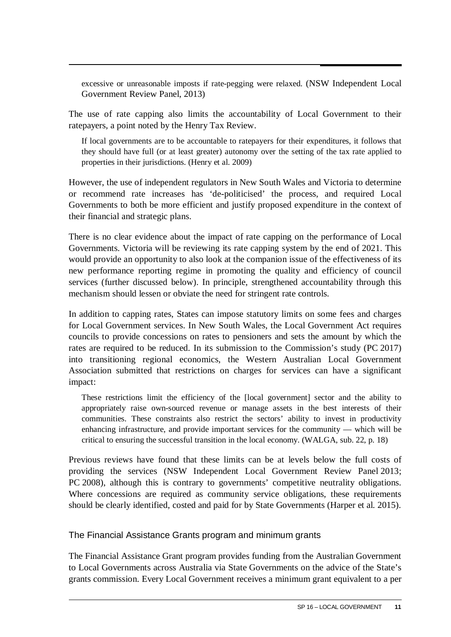excessive or unreasonable imposts if rate-pegging were relaxed. (NSW Independent Local Government Review Panel, 2013)

The use of rate capping also limits the accountability of Local Government to their ratepayers, a point noted by the Henry Tax Review.

If local governments are to be accountable to ratepayers for their expenditures, it follows that they should have full (or at least greater) autonomy over the setting of the tax rate applied to properties in their jurisdictions. (Henry et al. 2009)

However, the use of independent regulators in New South Wales and Victoria to determine or recommend rate increases has 'de-politicised' the process, and required Local Governments to both be more efficient and justify proposed expenditure in the context of their financial and strategic plans.

There is no clear evidence about the impact of rate capping on the performance of Local Governments. Victoria will be reviewing its rate capping system by the end of 2021. This would provide an opportunity to also look at the companion issue of the effectiveness of its new performance reporting regime in promoting the quality and efficiency of council services (further discussed below). In principle, strengthened accountability through this mechanism should lessen or obviate the need for stringent rate controls.

In addition to capping rates, States can impose statutory limits on some fees and charges for Local Government services. In New South Wales, the Local Government Act requires councils to provide concessions on rates to pensioners and sets the amount by which the rates are required to be reduced. In its submission to the Commission's study (PC 2017) into transitioning regional economics, the Western Australian Local Government Association submitted that restrictions on charges for services can have a significant impact:

These restrictions limit the efficiency of the [local government] sector and the ability to appropriately raise own-sourced revenue or manage assets in the best interests of their communities. These constraints also restrict the sectors' ability to invest in productivity enhancing infrastructure, and provide important services for the community — which will be critical to ensuring the successful transition in the local economy. (WALGA, sub. 22, p. 18)

Previous reviews have found that these limits can be at levels below the full costs of providing the services (NSW Independent Local Government Review Panel 2013; PC 2008), although this is contrary to governments' competitive neutrality obligations. Where concessions are required as community service obligations, these requirements should be clearly identified, costed and paid for by State Governments (Harper et al. 2015).

The Financial Assistance Grants program and minimum grants

The Financial Assistance Grant program provides funding from the Australian Government to Local Governments across Australia via State Governments on the advice of the State's grants commission. Every Local Government receives a minimum grant equivalent to a per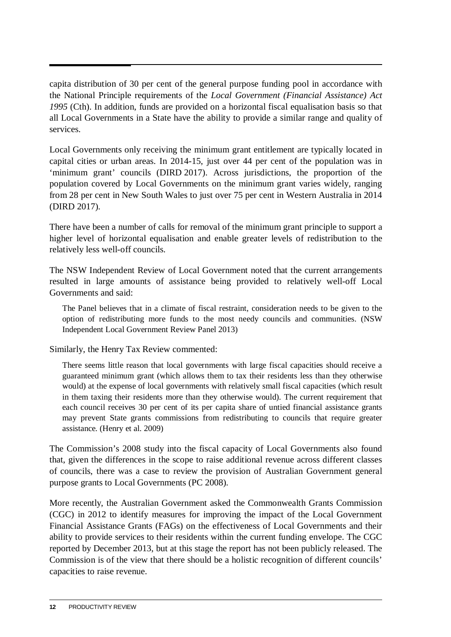capita distribution of 30 per cent of the general purpose funding pool in accordance with the National Principle requirements of the *Local Government (Financial Assistance) Act 1995* (Cth). In addition, funds are provided on a horizontal fiscal equalisation basis so that all Local Governments in a State have the ability to provide a similar range and quality of services.

Local Governments only receiving the minimum grant entitlement are typically located in capital cities or urban areas. In 2014-15, just over 44 per cent of the population was in 'minimum grant' councils (DIRD 2017). Across jurisdictions, the proportion of the population covered by Local Governments on the minimum grant varies widely, ranging from 28 per cent in New South Wales to just over 75 per cent in Western Australia in 2014 (DIRD 2017).

There have been a number of calls for removal of the minimum grant principle to support a higher level of horizontal equalisation and enable greater levels of redistribution to the relatively less well-off councils.

The NSW Independent Review of Local Government noted that the current arrangements resulted in large amounts of assistance being provided to relatively well-off Local Governments and said:

The Panel believes that in a climate of fiscal restraint, consideration needs to be given to the option of redistributing more funds to the most needy councils and communities. (NSW Independent Local Government Review Panel 2013)

Similarly, the Henry Tax Review commented:

There seems little reason that local governments with large fiscal capacities should receive a guaranteed minimum grant (which allows them to tax their residents less than they otherwise would) at the expense of local governments with relatively small fiscal capacities (which result in them taxing their residents more than they otherwise would). The current requirement that each council receives 30 per cent of its per capita share of untied financial assistance grants may prevent State grants commissions from redistributing to councils that require greater assistance. (Henry et al. 2009)

The Commission's 2008 study into the fiscal capacity of Local Governments also found that, given the differences in the scope to raise additional revenue across different classes of councils, there was a case to review the provision of Australian Government general purpose grants to Local Governments (PC 2008).

More recently, the Australian Government asked the Commonwealth Grants Commission (CGC) in 2012 to identify measures for improving the impact of the Local Government Financial Assistance Grants (FAGs) on the effectiveness of Local Governments and their ability to provide services to their residents within the current funding envelope. The CGC reported by December 2013, but at this stage the report has not been publicly released. The Commission is of the view that there should be a holistic recognition of different councils' capacities to raise revenue.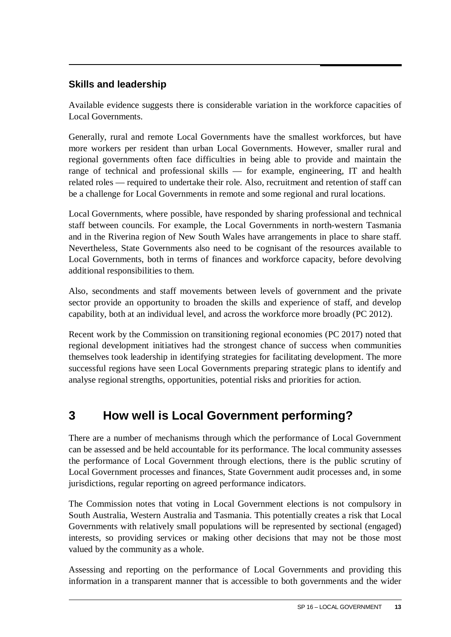#### <span id="page-14-0"></span>**Skills and leadership**

Available evidence suggests there is considerable variation in the workforce capacities of Local Governments.

Generally, rural and remote Local Governments have the smallest workforces, but have more workers per resident than urban Local Governments. However, smaller rural and regional governments often face difficulties in being able to provide and maintain the range of technical and professional skills — for example, engineering, IT and health related roles — required to undertake their role. Also, recruitment and retention of staff can be a challenge for Local Governments in remote and some regional and rural locations.

Local Governments, where possible, have responded by sharing professional and technical staff between councils. For example, the Local Governments in north-western Tasmania and in the Riverina region of New South Wales have arrangements in place to share staff. Nevertheless, State Governments also need to be cognisant of the resources available to Local Governments, both in terms of finances and workforce capacity, before devolving additional responsibilities to them.

Also, secondments and staff movements between levels of government and the private sector provide an opportunity to broaden the skills and experience of staff, and develop capability, both at an individual level, and across the workforce more broadly (PC 2012).

Recent work by the Commission on transitioning regional economies (PC 2017) noted that regional development initiatives had the strongest chance of success when communities themselves took leadership in identifying strategies for facilitating development. The more successful regions have seen Local Governments preparing strategic plans to identify and analyse regional strengths, opportunities, potential risks and priorities for action.

## **3 How well is Local Government performing?**

There are a number of mechanisms through which the performance of Local Government can be assessed and be held accountable for its performance. The local community assesses the performance of Local Government through elections, there is the public scrutiny of Local Government processes and finances, State Government audit processes and, in some jurisdictions, regular reporting on agreed performance indicators.

The Commission notes that voting in Local Government elections is not compulsory in South Australia, Western Australia and Tasmania. This potentially creates a risk that Local Governments with relatively small populations will be represented by sectional (engaged) interests, so providing services or making other decisions that may not be those most valued by the community as a whole.

Assessing and reporting on the performance of Local Governments and providing this information in a transparent manner that is accessible to both governments and the wider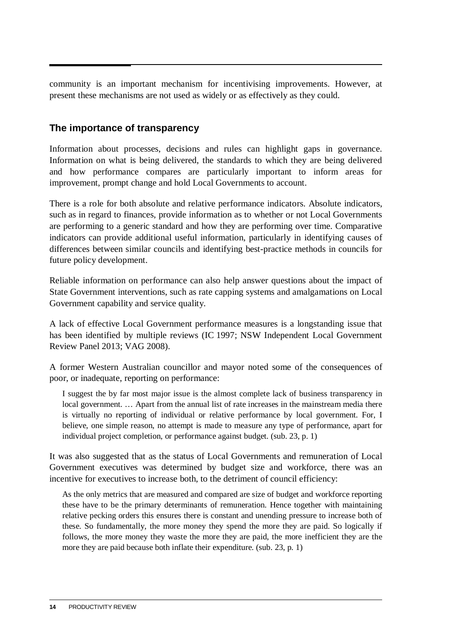community is an important mechanism for incentivising improvements. However, at present these mechanisms are not used as widely or as effectively as they could.

#### **The importance of transparency**

Information about processes, decisions and rules can highlight gaps in governance. Information on what is being delivered, the standards to which they are being delivered and how performance compares are particularly important to inform areas for improvement, prompt change and hold Local Governments to account.

There is a role for both absolute and relative performance indicators. Absolute indicators, such as in regard to finances, provide information as to whether or not Local Governments are performing to a generic standard and how they are performing over time. Comparative indicators can provide additional useful information, particularly in identifying causes of differences between similar councils and identifying best-practice methods in councils for future policy development.

Reliable information on performance can also help answer questions about the impact of State Government interventions, such as rate capping systems and amalgamations on Local Government capability and service quality.

A lack of effective Local Government performance measures is a longstanding issue that has been identified by multiple reviews (IC 1997; NSW Independent Local Government Review Panel 2013; VAG 2008).

A former Western Australian councillor and mayor noted some of the consequences of poor, or inadequate, reporting on performance:

I suggest the by far most major issue is the almost complete lack of business transparency in local government. … Apart from the annual list of rate increases in the mainstream media there is virtually no reporting of individual or relative performance by local government. For, I believe, one simple reason, no attempt is made to measure any type of performance, apart for individual project completion, or performance against budget. (sub. 23, p. 1)

It was also suggested that as the status of Local Governments and remuneration of Local Government executives was determined by budget size and workforce, there was an incentive for executives to increase both, to the detriment of council efficiency:

As the only metrics that are measured and compared are size of budget and workforce reporting these have to be the primary determinants of remuneration. Hence together with maintaining relative pecking orders this ensures there is constant and unending pressure to increase both of these. So fundamentally, the more money they spend the more they are paid. So logically if follows, the more money they waste the more they are paid, the more inefficient they are the more they are paid because both inflate their expenditure. (sub. 23, p. 1)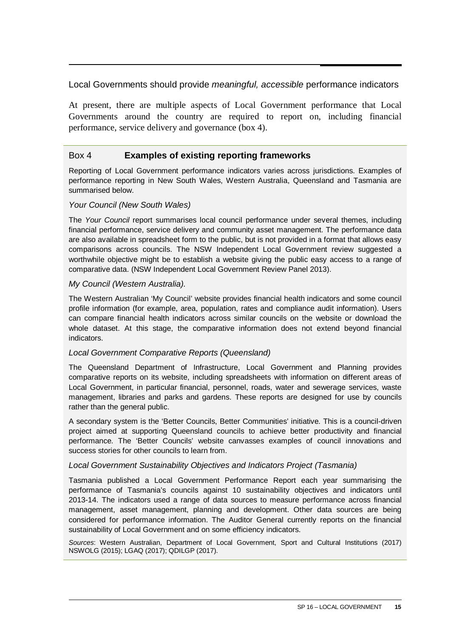#### Local Governments should provide *meaningful, accessible* performance indicators

At present, there are multiple aspects of Local Government performance that Local Governments around the country are required to report on, including financial performance, service delivery and governance (box 4).

#### Box 4 **Examples of existing reporting frameworks**

Reporting of Local Government performance indicators varies across jurisdictions. Examples of performance reporting in New South Wales, Western Australia, Queensland and Tasmania are summarised below.

#### *Your Council (New South Wales)*

The *Your Council* report summarises local council performance under several themes, including financial performance, service delivery and community asset management. The performance data are also available in spreadsheet form to the public, but is not provided in a format that allows easy comparisons across councils. The NSW Independent Local Government review suggested a worthwhile objective might be to establish a website giving the public easy access to a range of comparative data. (NSW Independent Local Government Review Panel 2013).

#### *My Council (Western Australia).*

The Western Australian 'My Council' website provides financial health indicators and some council profile information (for example, area, population, rates and compliance audit information). Users can compare financial health indicators across similar councils on the website or download the whole dataset. At this stage, the comparative information does not extend beyond financial indicators.

#### *Local Government Comparative Reports (Queensland)*

The Queensland Department of Infrastructure, Local Government and Planning provides comparative reports on its website, including spreadsheets with information on different areas of Local Government, in particular financial, personnel, roads, water and sewerage services, waste management, libraries and parks and gardens. These reports are designed for use by councils rather than the general public.

A secondary system is the 'Better Councils, Better Communities' initiative. This is a council-driven project aimed at supporting Queensland councils to achieve better productivity and financial performance. The 'Better Councils' website canvasses examples of council innovations and success stories for other councils to learn from.

#### *Local Government Sustainability Objectives and Indicators Project (Tasmania)*

Tasmania published a Local Government Performance Report each year summarising the performance of Tasmania's councils against 10 sustainability objectives and indicators until 2013-14. The indicators used a range of data sources to measure performance across financial management, asset management, planning and development. Other data sources are being considered for performance information. The Auditor General currently reports on the financial sustainability of Local Government and on some efficiency indicators.

*Sources*: Western Australian, Department of Local Government, Sport and Cultural Institutions (2017) NSWOLG (2015); LGAQ (2017); QDILGP (2017).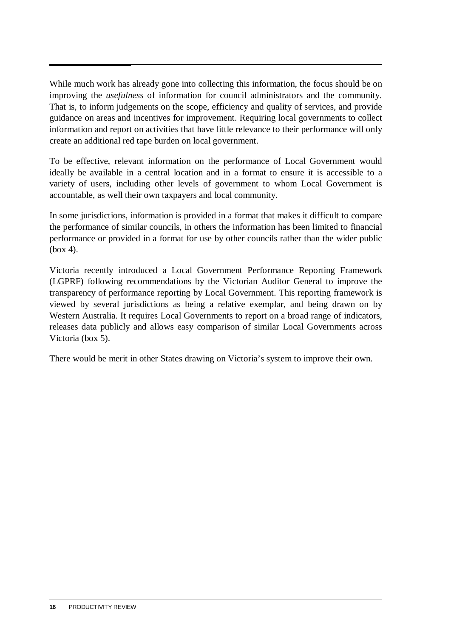While much work has already gone into collecting this information, the focus should be on improving the *usefulness* of information for council administrators and the community. That is, to inform judgements on the scope, efficiency and quality of services, and provide guidance on areas and incentives for improvement. Requiring local governments to collect information and report on activities that have little relevance to their performance will only create an additional red tape burden on local government.

To be effective, relevant information on the performance of Local Government would ideally be available in a central location and in a format to ensure it is accessible to a variety of users, including other levels of government to whom Local Government is accountable, as well their own taxpayers and local community.

In some jurisdictions, information is provided in a format that makes it difficult to compare the performance of similar councils, in others the information has been limited to financial performance or provided in a format for use by other councils rather than the wider public (box 4).

Victoria recently introduced a Local Government Performance Reporting Framework (LGPRF) following recommendations by the Victorian Auditor General to improve the transparency of performance reporting by Local Government. This reporting framework is viewed by several jurisdictions as being a relative exemplar, and being drawn on by Western Australia. It requires Local Governments to report on a broad range of indicators, releases data publicly and allows easy comparison of similar Local Governments across Victoria (box 5).

There would be merit in other States drawing on Victoria's system to improve their own.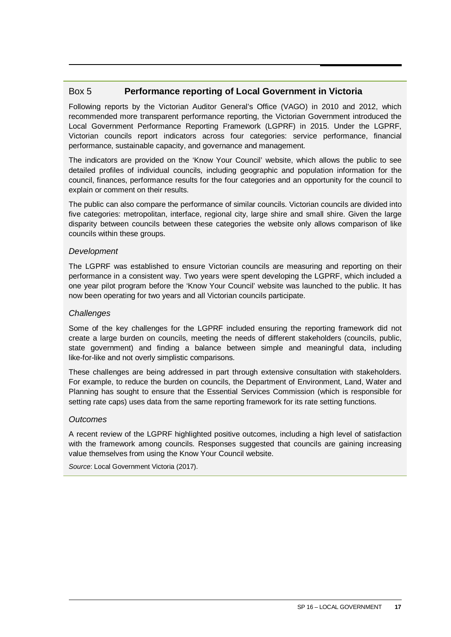#### Box 5 **Performance reporting of Local Government in Victoria**

Following reports by the Victorian Auditor General's Office (VAGO) in 2010 and 2012, which recommended more transparent performance reporting, the Victorian Government introduced the Local Government Performance Reporting Framework (LGPRF) in 2015. Under the LGPRF, Victorian councils report indicators across four categories: service performance, financial performance, sustainable capacity, and governance and management.

The indicators are provided on the 'Know Your Council' website, which allows the public to see detailed profiles of individual councils, including geographic and population information for the council, finances, performance results for the four categories and an opportunity for the council to explain or comment on their results.

The public can also compare the performance of similar councils. Victorian councils are divided into five categories: metropolitan, interface, regional city, large shire and small shire. Given the large disparity between councils between these categories the website only allows comparison of like councils within these groups.

#### *Development*

The LGPRF was established to ensure Victorian councils are measuring and reporting on their performance in a consistent way. Two years were spent developing the LGPRF, which included a one year pilot program before the 'Know Your Council' website was launched to the public. It has now been operating for two years and all Victorian councils participate.

#### *Challenges*

Some of the key challenges for the LGPRF included ensuring the reporting framework did not create a large burden on councils, meeting the needs of different stakeholders (councils, public, state government) and finding a balance between simple and meaningful data, including like-for-like and not overly simplistic comparisons.

These challenges are being addressed in part through extensive consultation with stakeholders. For example, to reduce the burden on councils, the Department of Environment, Land, Water and Planning has sought to ensure that the Essential Services Commission (which is responsible for setting rate caps) uses data from the same reporting framework for its rate setting functions.

#### *Outcomes*

A recent review of the LGPRF highlighted positive outcomes, including a high level of satisfaction with the framework among councils. Responses suggested that councils are gaining increasing value themselves from using the Know Your Council website.

*Source*: Local Government Victoria (2017).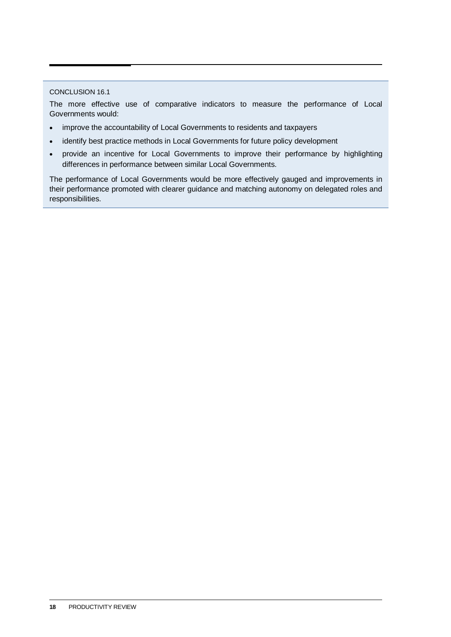#### CONCLUSION 16.1

The more effective use of comparative indicators to measure the performance of Local Governments would:

- improve the accountability of Local Governments to residents and taxpayers
- identify best practice methods in Local Governments for future policy development
- provide an incentive for Local Governments to improve their performance by highlighting differences in performance between similar Local Governments.

The performance of Local Governments would be more effectively gauged and improvements in their performance promoted with clearer guidance and matching autonomy on delegated roles and responsibilities.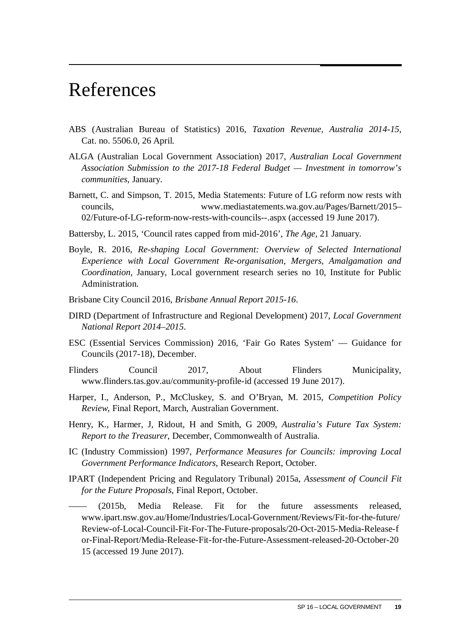# <span id="page-20-0"></span>References

- ABS (Australian Bureau of Statistics) 2016, *Taxation Revenue, Australia 2014-15*, Cat. no. 5506.0, 26 April.
- ALGA (Australian Local Government Association) 2017, *Australian Local Government Association Submission to the 2017-18 Federal Budget — Investment in tomorrow's communities*, January.
- Barnett, C. and Simpson, T. 2015, Media Statements: Future of LG reform now rests with councils, www.mediastatements.wa.gov.au/Pages/Barnett/2015– 02/Future-of-LG-reform-now-rests-with-councils--.aspx (accessed 19 June 2017).
- Battersby, L. 2015, 'Council rates capped from mid-2016', *The Age*, 21 January.
- Boyle, R. 2016, *Re-shaping Local Government: Overview of Selected International Experience with Local Government Re-organisation, Mergers, Amalgamation and Coordination*, January, Local government research series no 10, Institute for Public Administration.
- Brisbane City Council 2016, *Brisbane Annual Report 2015-16*.
- DIRD (Department of Infrastructure and Regional Development) 2017, *Local Government National Report 2014–2015*.
- ESC (Essential Services Commission) 2016, 'Fair Go Rates System' Guidance for Councils (2017-18), December.
- Flinders Council 2017, About Flinders Municipality, www.flinders.tas.gov.au/community-profile-id (accessed 19 June 2017).
- Harper, I., Anderson, P., McCluskey, S. and O'Bryan, M. 2015, *Competition Policy Review*, Final Report, March, Australian Government.
- Henry, K., Harmer, J, Ridout, H and Smith, G 2009, *Australia's Future Tax System: Report to the Treasurer*, December, Commonwealth of Australia.
- IC (Industry Commission) 1997, *Performance Measures for Councils: improving Local Government Performance Indicators*, Research Report, October.
- IPART (Independent Pricing and Regulatory Tribunal) 2015a, *Assessment of Council Fit for the Future Proposals*, Final Report, October.

 $(2015b,$  Media Release. Fit for the future assessments released, www.ipart.nsw.gov.au/Home/Industries/Local-Government/Reviews/Fit-for-the-future/ Review-of-Local-Council-Fit-For-The-Future-proposals/20-Oct-2015-Media-Release-f or-Final-Report/Media-Release-Fit-for-the-Future-Assessment-released-20-October-20 15 (accessed 19 June 2017).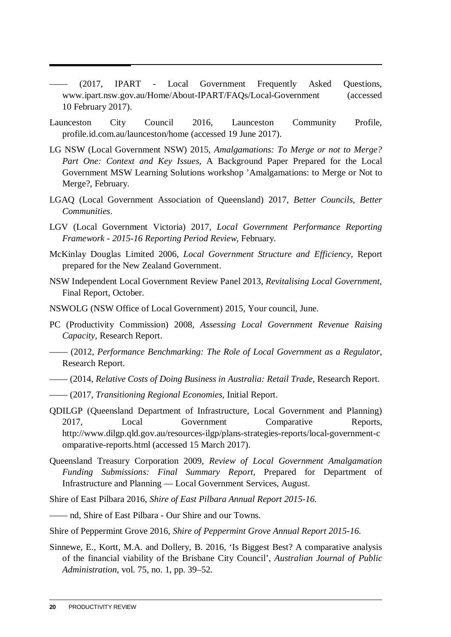- —— (2017, IPART Local Government Frequently Asked Questions, www.ipart.nsw.gov.au/Home/About-IPART/FAQs/Local-Government (accessed 10 February 2017).
- Launceston City Council 2016, Launceston Community Profile, profile.id.com.au/launceston/home (accessed 19 June 2017).
- LG NSW (Local Government NSW) 2015, *Amalgamations: To Merge or not to Merge? Part One: Context and Key Issues*, A Background Paper Prepared for the Local Government MSW Learning Solutions workshop 'Amalgamations: to Merge or Not to Merge?, February.
- LGAQ (Local Government Association of Queensland) 2017, *Better Councils, Better Communities*.
- LGV (Local Government Victoria) 2017, *Local Government Performance Reporting Framework - 2015-16 Reporting Period Review*, February.
- McKinlay Douglas Limited 2006, *Local Government Structure and Efficiency*, Report prepared for the New Zealand Government.
- NSW Independent Local Government Review Panel 2013, *Revitalising Local Government*, Final Report, October.
- NSWOLG (NSW Office of Local Government) 2015, Your council, June.
- PC (Productivity Commission) 2008, *Assessing Local Government Revenue Raising Capacity*, Research Report.
- —— (2012, *Performance Benchmarking: The Role of Local Government as a Regulator*, Research Report.
- —— (2014, *Relative Costs of Doing Business in Australia: Retail Trade*, Research Report.
- —— (2017, *Transitioning Regional Economies*, Initial Report.
- QDILGP (Queensland Department of Infrastructure, Local Government and Planning) 2017, Local Government Comparative Reports, http://www.dilgp.qld.gov.au/resources-ilgp/plans-strategies-reports/local-government-c omparative-reports.html (accessed 15 March 2017).
- Queensland Treasury Corporation 2009, *Review of Local Government Amalgamation Funding Submissions: Final Summary Report*, Prepared for Department of Infrastructure and Planning — Local Government Services, August.
- Shire of East Pilbara 2016, *Shire of East Pilbara Annual Report 2015-16*.
- —— nd, Shire of East Pilbara Our Shire and our Towns.
- Shire of Peppermint Grove 2016, *Shire of Peppermint Grove Annual Report 2015-16*.
- Sinnewe, E., Kortt, M.A. and Dollery, B. 2016, 'Is Biggest Best? A comparative analysis of the financial viability of the Brisbane City Council', *Australian Journal of Public Administration*, vol. 75, no. 1, pp. 39–52.